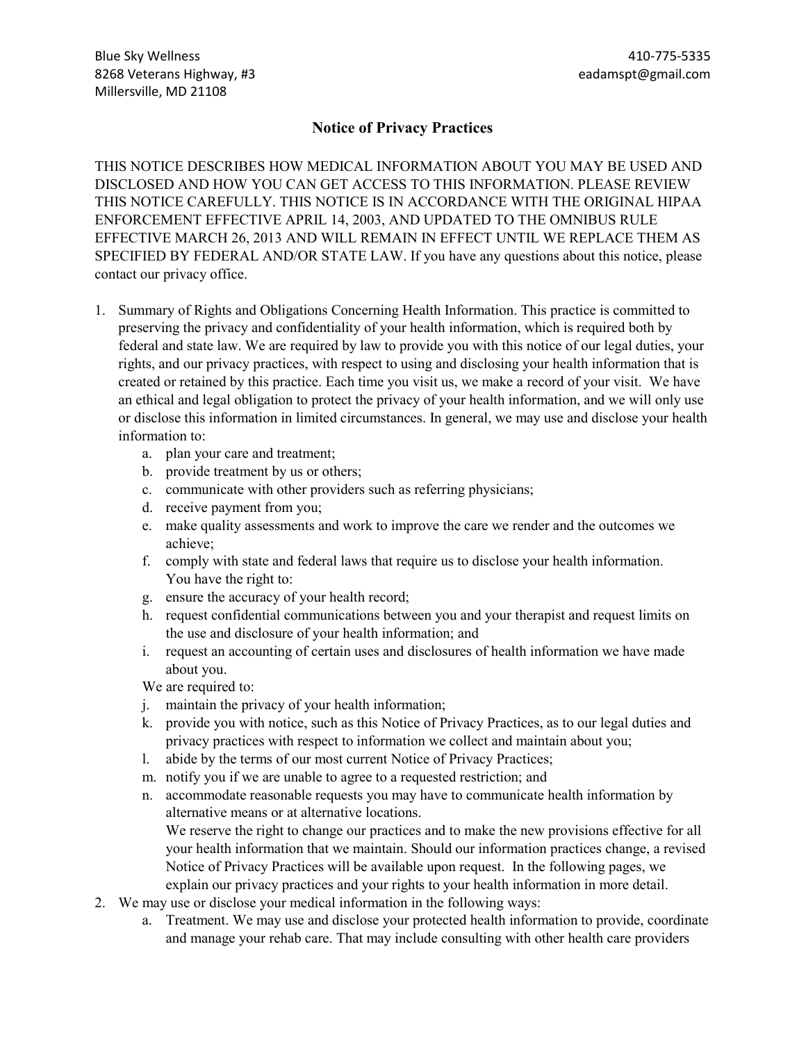## **Notice of Privacy Practices**

THIS NOTICE DESCRIBES HOW MEDICAL INFORMATION ABOUT YOU MAY BE USED AND DISCLOSED AND HOW YOU CAN GET ACCESS TO THIS INFORMATION. PLEASE REVIEW THIS NOTICE CAREFULLY. THIS NOTICE IS IN ACCORDANCE WITH THE ORIGINAL HIPAA ENFORCEMENT EFFECTIVE APRIL 14, 2003, AND UPDATED TO THE OMNIBUS RULE EFFECTIVE MARCH 26, 2013 AND WILL REMAIN IN EFFECT UNTIL WE REPLACE THEM AS SPECIFIED BY FEDERAL AND/OR STATE LAW. If you have any questions about this notice, please contact our privacy office.

- 1. Summary of Rights and Obligations Concerning Health Information. This practice is committed to preserving the privacy and confidentiality of your health information, which is required both by federal and state law. We are required by law to provide you with this notice of our legal duties, your rights, and our privacy practices, with respect to using and disclosing your health information that is created or retained by this practice. Each time you visit us, we make a record of your visit. We have an ethical and legal obligation to protect the privacy of your health information, and we will only use or disclose this information in limited circumstances. In general, we may use and disclose your health information to:
	- a. plan your care and treatment;
	- b. provide treatment by us or others;
	- c. communicate with other providers such as referring physicians;
	- d. receive payment from you;
	- e. make quality assessments and work to improve the care we render and the outcomes we achieve;
	- f. comply with state and federal laws that require us to disclose your health information. You have the right to:
	- g. ensure the accuracy of your health record;
	- h. request confidential communications between you and your therapist and request limits on the use and disclosure of your health information; and
	- i. request an accounting of certain uses and disclosures of health information we have made about you.

We are required to:

- j. maintain the privacy of your health information;
- k. provide you with notice, such as this Notice of Privacy Practices, as to our legal duties and privacy practices with respect to information we collect and maintain about you;
- l. abide by the terms of our most current Notice of Privacy Practices;
- m. notify you if we are unable to agree to a requested restriction; and
- n. accommodate reasonable requests you may have to communicate health information by alternative means or at alternative locations. We reserve the right to change our practices and to make the new provisions effective for all

your health information that we maintain. Should our information practices change, a revised Notice of Privacy Practices will be available upon request. In the following pages, we explain our privacy practices and your rights to your health information in more detail.

- 2. We may use or disclose your medical information in the following ways:
	- a. Treatment. We may use and disclose your protected health information to provide, coordinate and manage your rehab care. That may include consulting with other health care providers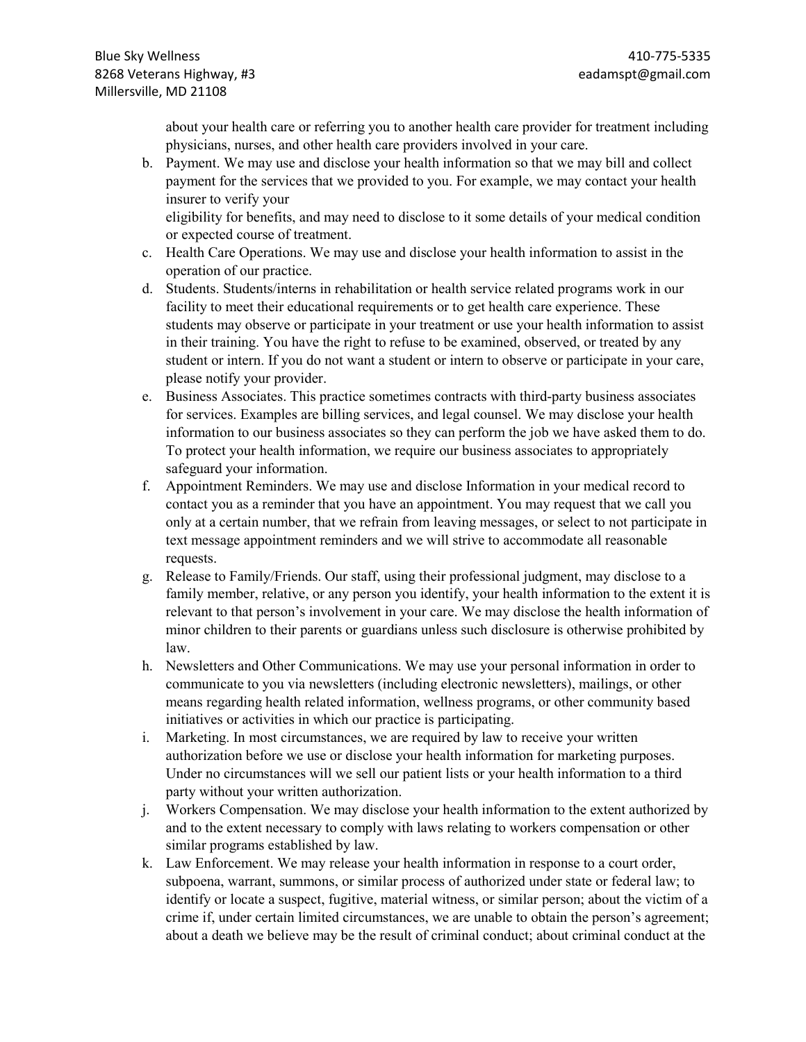about your health care or referring you to another health care provider for treatment including physicians, nurses, and other health care providers involved in your care.

b. Payment. We may use and disclose your health information so that we may bill and collect payment for the services that we provided to you. For example, we may contact your health insurer to verify your

eligibility for benefits, and may need to disclose to it some details of your medical condition or expected course of treatment.

- c. Health Care Operations. We may use and disclose your health information to assist in the operation of our practice.
- d. Students. Students/interns in rehabilitation or health service related programs work in our facility to meet their educational requirements or to get health care experience. These students may observe or participate in your treatment or use your health information to assist in their training. You have the right to refuse to be examined, observed, or treated by any student or intern. If you do not want a student or intern to observe or participate in your care, please notify your provider.
- e. Business Associates. This practice sometimes contracts with third-party business associates for services. Examples are billing services, and legal counsel. We may disclose your health information to our business associates so they can perform the job we have asked them to do. To protect your health information, we require our business associates to appropriately safeguard your information.
- f. Appointment Reminders. We may use and disclose Information in your medical record to contact you as a reminder that you have an appointment. You may request that we call you only at a certain number, that we refrain from leaving messages, or select to not participate in text message appointment reminders and we will strive to accommodate all reasonable requests.
- g. Release to Family/Friends. Our staff, using their professional judgment, may disclose to a family member, relative, or any person you identify, your health information to the extent it is relevant to that person's involvement in your care. We may disclose the health information of minor children to their parents or guardians unless such disclosure is otherwise prohibited by law.
- h. Newsletters and Other Communications. We may use your personal information in order to communicate to you via newsletters (including electronic newsletters), mailings, or other means regarding health related information, wellness programs, or other community based initiatives or activities in which our practice is participating.
- i. Marketing. In most circumstances, we are required by law to receive your written authorization before we use or disclose your health information for marketing purposes. Under no circumstances will we sell our patient lists or your health information to a third party without your written authorization.
- j. Workers Compensation. We may disclose your health information to the extent authorized by and to the extent necessary to comply with laws relating to workers compensation or other similar programs established by law.
- k. Law Enforcement. We may release your health information in response to a court order, subpoena, warrant, summons, or similar process of authorized under state or federal law; to identify or locate a suspect, fugitive, material witness, or similar person; about the victim of a crime if, under certain limited circumstances, we are unable to obtain the person's agreement; about a death we believe may be the result of criminal conduct; about criminal conduct at the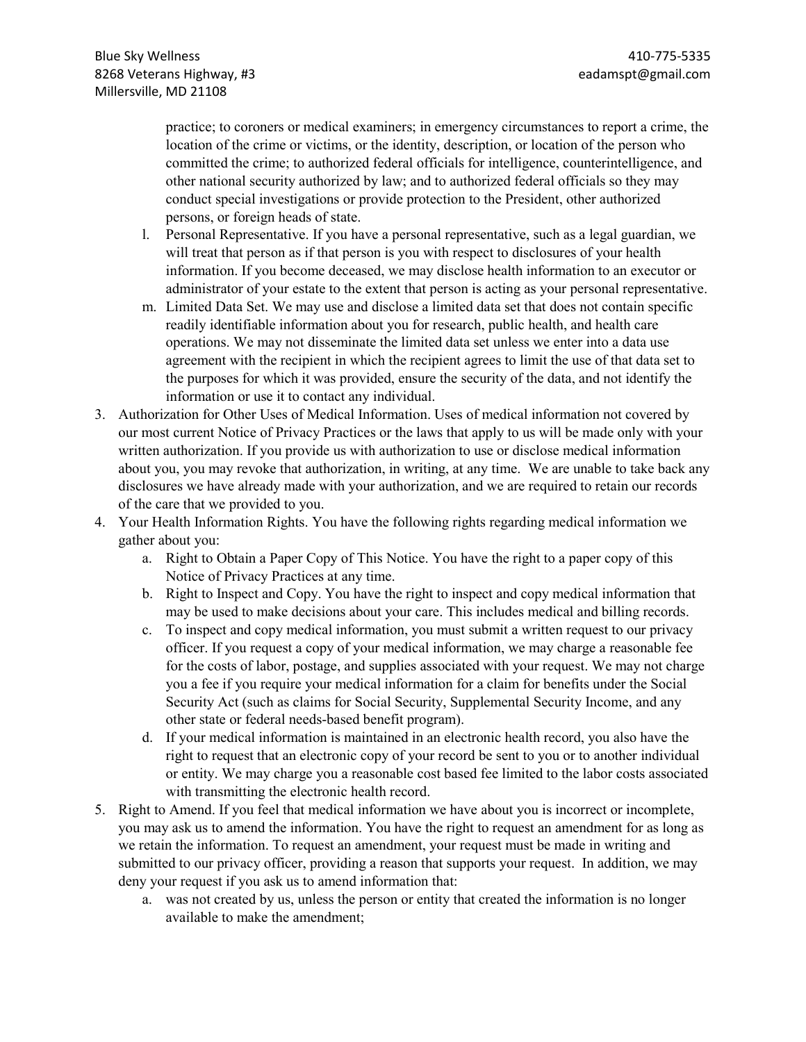practice; to coroners or medical examiners; in emergency circumstances to report a crime, the location of the crime or victims, or the identity, description, or location of the person who committed the crime; to authorized federal officials for intelligence, counterintelligence, and other national security authorized by law; and to authorized federal officials so they may conduct special investigations or provide protection to the President, other authorized persons, or foreign heads of state.

- l. Personal Representative. If you have a personal representative, such as a legal guardian, we will treat that person as if that person is you with respect to disclosures of your health information. If you become deceased, we may disclose health information to an executor or administrator of your estate to the extent that person is acting as your personal representative.
- m. Limited Data Set. We may use and disclose a limited data set that does not contain specific readily identifiable information about you for research, public health, and health care operations. We may not disseminate the limited data set unless we enter into a data use agreement with the recipient in which the recipient agrees to limit the use of that data set to the purposes for which it was provided, ensure the security of the data, and not identify the information or use it to contact any individual.
- 3. Authorization for Other Uses of Medical Information. Uses of medical information not covered by our most current Notice of Privacy Practices or the laws that apply to us will be made only with your written authorization. If you provide us with authorization to use or disclose medical information about you, you may revoke that authorization, in writing, at any time. We are unable to take back any disclosures we have already made with your authorization, and we are required to retain our records of the care that we provided to you.
- 4. Your Health Information Rights. You have the following rights regarding medical information we gather about you:
	- a. Right to Obtain a Paper Copy of This Notice. You have the right to a paper copy of this Notice of Privacy Practices at any time.
	- b. Right to Inspect and Copy. You have the right to inspect and copy medical information that may be used to make decisions about your care. This includes medical and billing records.
	- c. To inspect and copy medical information, you must submit a written request to our privacy officer. If you request a copy of your medical information, we may charge a reasonable fee for the costs of labor, postage, and supplies associated with your request. We may not charge you a fee if you require your medical information for a claim for benefits under the Social Security Act (such as claims for Social Security, Supplemental Security Income, and any other state or federal needs-based benefit program).
	- d. If your medical information is maintained in an electronic health record, you also have the right to request that an electronic copy of your record be sent to you or to another individual or entity. We may charge you a reasonable cost based fee limited to the labor costs associated with transmitting the electronic health record.
- 5. Right to Amend. If you feel that medical information we have about you is incorrect or incomplete, you may ask us to amend the information. You have the right to request an amendment for as long as we retain the information. To request an amendment, your request must be made in writing and submitted to our privacy officer, providing a reason that supports your request. In addition, we may deny your request if you ask us to amend information that:
	- a. was not created by us, unless the person or entity that created the information is no longer available to make the amendment;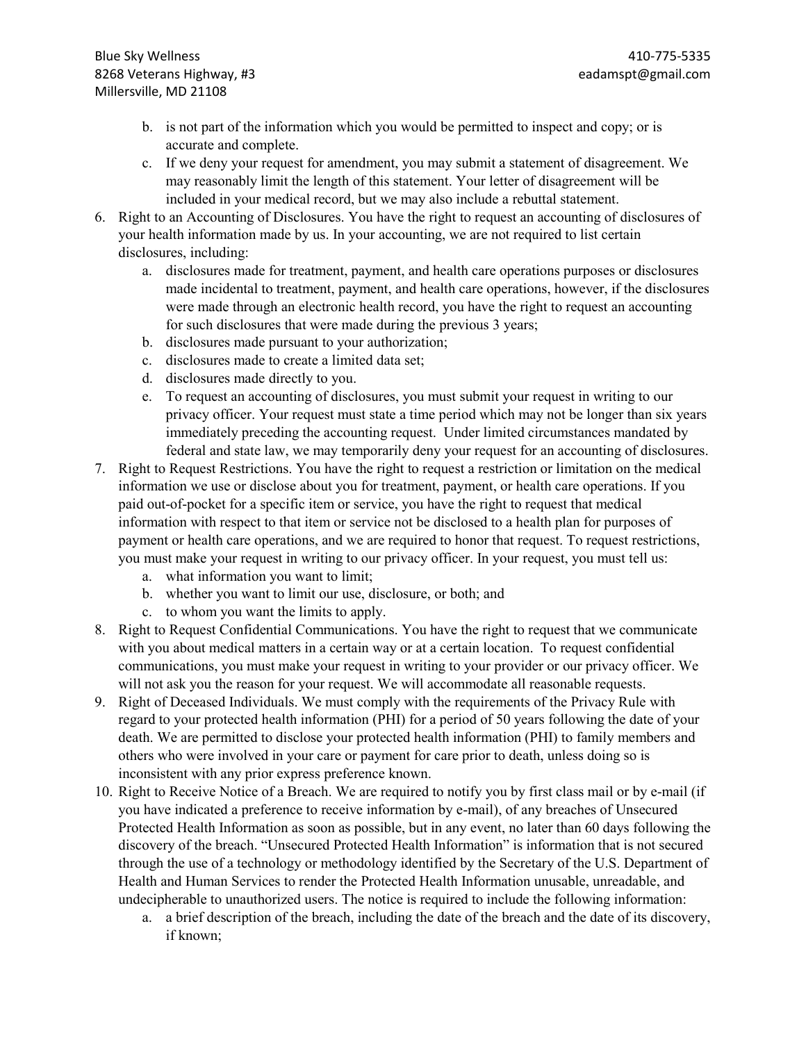- b. is not part of the information which you would be permitted to inspect and copy; or is accurate and complete.
- c. If we deny your request for amendment, you may submit a statement of disagreement. We may reasonably limit the length of this statement. Your letter of disagreement will be included in your medical record, but we may also include a rebuttal statement.
- 6. Right to an Accounting of Disclosures. You have the right to request an accounting of disclosures of your health information made by us. In your accounting, we are not required to list certain disclosures, including:
	- a. disclosures made for treatment, payment, and health care operations purposes or disclosures made incidental to treatment, payment, and health care operations, however, if the disclosures were made through an electronic health record, you have the right to request an accounting for such disclosures that were made during the previous 3 years;
	- b. disclosures made pursuant to your authorization;
	- c. disclosures made to create a limited data set;
	- d. disclosures made directly to you.
	- e. To request an accounting of disclosures, you must submit your request in writing to our privacy officer. Your request must state a time period which may not be longer than six years immediately preceding the accounting request. Under limited circumstances mandated by federal and state law, we may temporarily deny your request for an accounting of disclosures.
- 7. Right to Request Restrictions. You have the right to request a restriction or limitation on the medical information we use or disclose about you for treatment, payment, or health care operations. If you paid out-of-pocket for a specific item or service, you have the right to request that medical information with respect to that item or service not be disclosed to a health plan for purposes of payment or health care operations, and we are required to honor that request. To request restrictions, you must make your request in writing to our privacy officer. In your request, you must tell us:
	- a. what information you want to limit;
	- b. whether you want to limit our use, disclosure, or both; and
	- c. to whom you want the limits to apply.
- 8. Right to Request Confidential Communications. You have the right to request that we communicate with you about medical matters in a certain way or at a certain location. To request confidential communications, you must make your request in writing to your provider or our privacy officer. We will not ask you the reason for your request. We will accommodate all reasonable requests.
- 9. Right of Deceased Individuals. We must comply with the requirements of the Privacy Rule with regard to your protected health information (PHI) for a period of 50 years following the date of your death. We are permitted to disclose your protected health information (PHI) to family members and others who were involved in your care or payment for care prior to death, unless doing so is inconsistent with any prior express preference known.
- 10. Right to Receive Notice of a Breach. We are required to notify you by first class mail or by e-mail (if you have indicated a preference to receive information by e-mail), of any breaches of Unsecured Protected Health Information as soon as possible, but in any event, no later than 60 days following the discovery of the breach. "Unsecured Protected Health Information" is information that is not secured through the use of a technology or methodology identified by the Secretary of the U.S. Department of Health and Human Services to render the Protected Health Information unusable, unreadable, and undecipherable to unauthorized users. The notice is required to include the following information:
	- a. a brief description of the breach, including the date of the breach and the date of its discovery, if known;